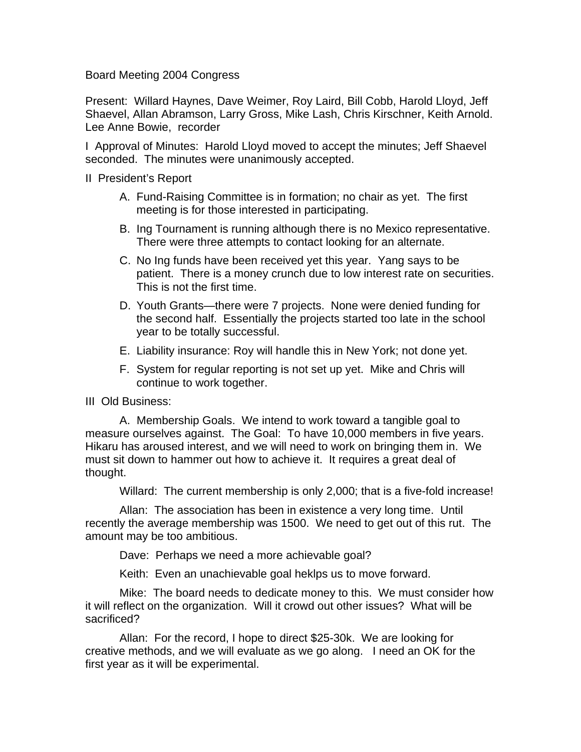Board Meeting 2004 Congress

Present: Willard Haynes, Dave Weimer, Roy Laird, Bill Cobb, Harold Lloyd, Jeff Shaevel, Allan Abramson, Larry Gross, Mike Lash, Chris Kirschner, Keith Arnold. Lee Anne Bowie, recorder

I Approval of Minutes: Harold Lloyd moved to accept the minutes; Jeff Shaevel seconded. The minutes were unanimously accepted.

II President's Report

- A. Fund-Raising Committee is in formation; no chair as yet. The first meeting is for those interested in participating.
- B. Ing Tournament is running although there is no Mexico representative. There were three attempts to contact looking for an alternate.
- C. No Ing funds have been received yet this year. Yang says to be patient. There is a money crunch due to low interest rate on securities. This is not the first time.
- D. Youth Grants—there were 7 projects. None were denied funding for the second half. Essentially the projects started too late in the school year to be totally successful.
- E. Liability insurance: Roy will handle this in New York; not done yet.
- F. System for regular reporting is not set up yet. Mike and Chris will continue to work together.

III Old Business:

A. Membership Goals. We intend to work toward a tangible goal to measure ourselves against. The Goal: To have 10,000 members in five years. Hikaru has aroused interest, and we will need to work on bringing them in. We must sit down to hammer out how to achieve it. It requires a great deal of thought.

Willard: The current membership is only 2,000; that is a five-fold increase!

Allan: The association has been in existence a very long time. Until recently the average membership was 1500. We need to get out of this rut. The amount may be too ambitious.

Dave: Perhaps we need a more achievable goal?

Keith: Even an unachievable goal heklps us to move forward.

Mike: The board needs to dedicate money to this. We must consider how it will reflect on the organization. Will it crowd out other issues? What will be sacrificed?

Allan: For the record, I hope to direct \$25-30k. We are looking for creative methods, and we will evaluate as we go along. I need an OK for the first year as it will be experimental.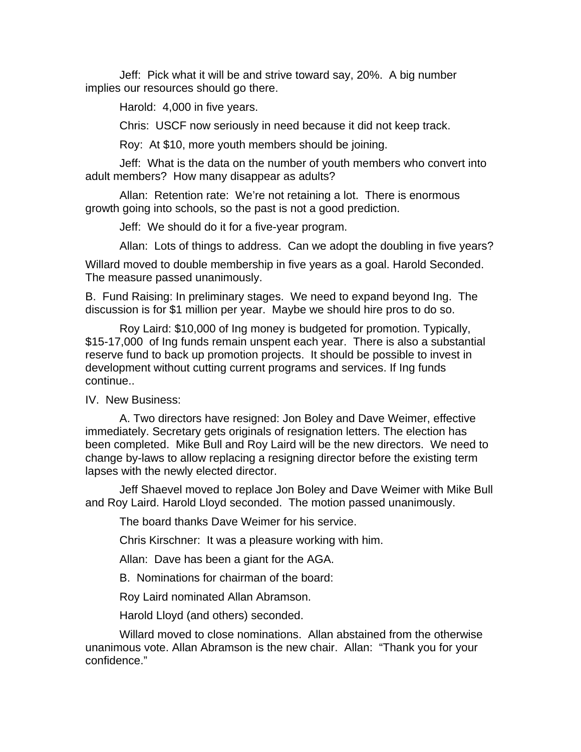Jeff: Pick what it will be and strive toward say, 20%. A big number implies our resources should go there.

Harold: 4,000 in five years.

Chris: USCF now seriously in need because it did not keep track.

Roy: At \$10, more youth members should be joining.

Jeff: What is the data on the number of youth members who convert into adult members? How many disappear as adults?

Allan: Retention rate: We're not retaining a lot. There is enormous growth going into schools, so the past is not a good prediction.

Jeff: We should do it for a five-year program.

Allan: Lots of things to address. Can we adopt the doubling in five years?

Willard moved to double membership in five years as a goal. Harold Seconded. The measure passed unanimously.

B. Fund Raising: In preliminary stages. We need to expand beyond Ing. The discussion is for \$1 million per year. Maybe we should hire pros to do so.

Roy Laird: \$10,000 of Ing money is budgeted for promotion. Typically, \$15-17,000 of Ing funds remain unspent each year. There is also a substantial reserve fund to back up promotion projects. It should be possible to invest in development without cutting current programs and services. If Ing funds continue..

IV. New Business:

A. Two directors have resigned: Jon Boley and Dave Weimer, effective immediately. Secretary gets originals of resignation letters. The election has been completed. Mike Bull and Roy Laird will be the new directors. We need to change by-laws to allow replacing a resigning director before the existing term lapses with the newly elected director.

Jeff Shaevel moved to replace Jon Boley and Dave Weimer with Mike Bull and Roy Laird. Harold Lloyd seconded. The motion passed unanimously.

The board thanks Dave Weimer for his service.

Chris Kirschner: It was a pleasure working with him.

Allan: Dave has been a giant for the AGA.

B. Nominations for chairman of the board:

Roy Laird nominated Allan Abramson.

Harold Lloyd (and others) seconded.

Willard moved to close nominations. Allan abstained from the otherwise unanimous vote. Allan Abramson is the new chair. Allan: "Thank you for your confidence."